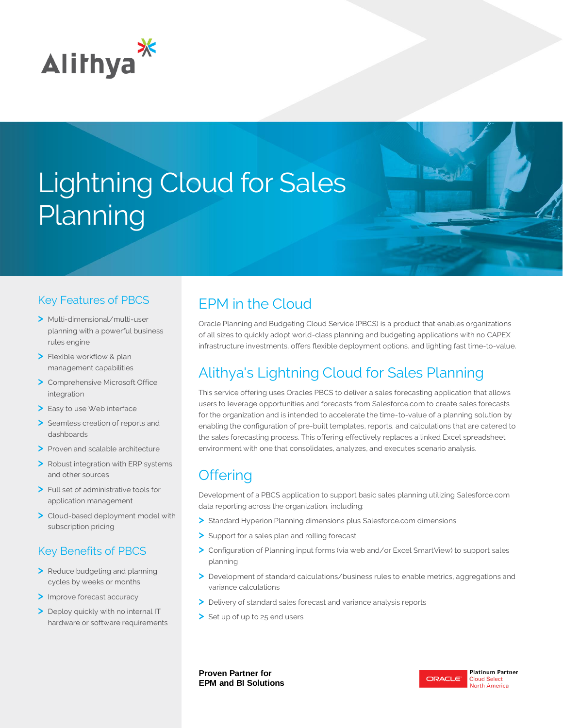

# Lightning Cloud for Sales Planning

#### Key Features of PBCS

- **>** Multi-dimensional/multi-user planning with a powerful business rules engine
- **>** Flexible workflow & plan management capabilities
- **>** Comprehensive Microsoft Office integration
- **>** Easy to use Web interface
- **>** Seamless creation of reports and dashboards
- **>** Proven and scalable architecture
- **>** Robust integration with ERP systems and other sources
- **>** Full set of administrative tools for application management
- **>** Cloud-based deployment model with subscription pricing

### Key Benefits of PBCS

- **>** Reduce budgeting and planning cycles by weeks or months
- **>** Improve forecast accuracy
- **>** Deploy quickly with no internal IT hardware or software requirements

# EPM in the Cloud

Oracle Planning and Budgeting Cloud Service (PBCS) is a product that enables organizations of all sizes to quickly adopt world-class planning and budgeting applications with no CAPEX infrastructure investments, offers flexible deployment options, and lighting fast time-to-value.

# Alithya's Lightning Cloud for Sales Planning

This service offering uses Oracles PBCS to deliver a sales forecasting application that allows users to leverage opportunities and forecasts from Salesforce.com to create sales forecasts for the organization and is intended to accelerate the time-to-value of a planning solution by enabling the configuration of pre-built templates, reports, and calculations that are catered to the sales forecasting process. This offering effectively replaces a linked Excel spreadsheet environment with one that consolidates, analyzes, and executes scenario analysis.

## **Offering**

Development of a PBCS application to support basic sales planning utilizing Salesforce.com data reporting across the organization, including:

- **>** Standard Hyperion Planning dimensions plus Salesforce.com dimensions
- **>** Support for a sales plan and rolling forecast
- **>** Configuration of Planning input forms (via web and/or Excel SmartView) to support sales planning
- **>** Development of standard calculations/business rules to enable metrics, aggregations and variance calculations
- **>** Delivery of standard sales forecast and variance analysis reports
- **>** Set up of up to 25 end users

**Proven Partner for EPM and BI Solutions**